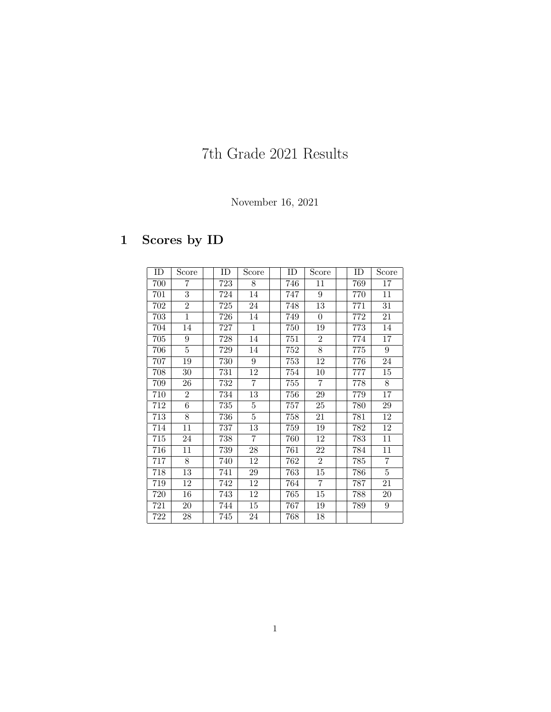# 7th Grade 2021 Results

### November 16, 2021

## 1 Scores by ID

| ID  | Score           | ID  | Score          | ID  | Score          | ID      | Score            |
|-----|-----------------|-----|----------------|-----|----------------|---------|------------------|
| 700 | 7               | 723 | 8              | 746 | 11             | 769     | 17               |
| 701 | $\overline{3}$  | 724 | 14             | 747 | 9              | 770     | 11               |
| 702 | $\overline{2}$  | 725 | 24             | 748 | 13             | 771     | 31               |
| 703 | $\mathbf{1}$    | 726 | 14             | 749 | $\theta$       | 772     | 21               |
| 704 | 14              | 727 | $\mathbf{1}$   | 750 | 19             | 773     | 14               |
| 705 | 9               | 728 | 14             | 751 | $\overline{2}$ | 774     | 17               |
| 706 | $\overline{5}$  | 729 | 14             | 752 | $\overline{8}$ | 775     | $\boldsymbol{9}$ |
| 707 | 19              | 730 | 9              | 753 | 12             | 776     | 24               |
| 708 | 30              | 731 | 12             | 754 | 10             | 777     | 15               |
| 709 | 26              | 732 | $\overline{7}$ | 755 | $\overline{7}$ | 778     | 8                |
| 710 | $\overline{2}$  | 734 | 13             | 756 | 29             | $779\,$ | 17               |
| 712 | $6\phantom{.}6$ | 735 | $\overline{5}$ | 757 | 25             | 780     | $\,29$           |
| 713 | 8               | 736 | $\bf 5$        | 758 | 21             | 781     | 12               |
| 714 | 11              | 737 | 13             | 759 | 19             | 782     | 12               |
| 715 | 24              | 738 | 7              | 760 | 12             | 783     | 11               |
| 716 | 11              | 739 | $28\,$         | 761 | 22             | 784     | 11               |
| 717 | 8               | 740 | 12             | 762 | $\overline{2}$ | 785     | $\overline{7}$   |
| 718 | 13              | 741 | 29             | 763 | $15\,$         | 786     | $\overline{5}$   |
| 719 | 12              | 742 | 12             | 764 | $\overline{7}$ | 787     | 21               |
| 720 | 16              | 743 | 12             | 765 | 15             | 788     | 20               |
| 721 | 20              | 744 | 15             | 767 | 19             | 789     | 9                |
| 722 | 28              | 745 | 24             | 768 | 18             |         |                  |